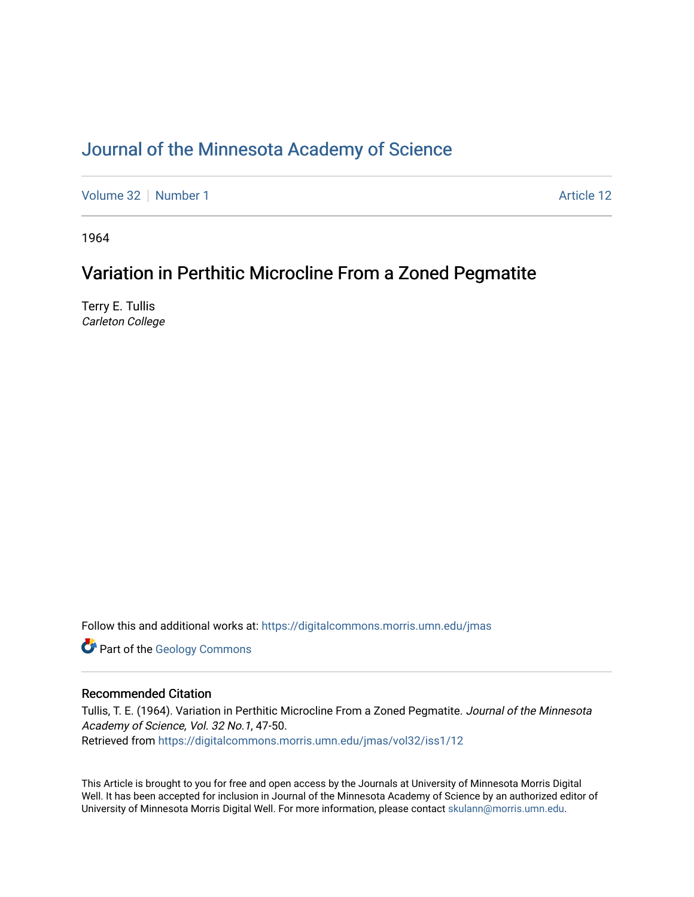# [Journal of the Minnesota Academy of Science](https://digitalcommons.morris.umn.edu/jmas)

[Volume 32](https://digitalcommons.morris.umn.edu/jmas/vol32) [Number 1](https://digitalcommons.morris.umn.edu/jmas/vol32/iss1) Article 12

1964

## Variation in Perthitic Microcline From a Zoned Pegmatite

Terry E. Tullis Carleton College

Follow this and additional works at: [https://digitalcommons.morris.umn.edu/jmas](https://digitalcommons.morris.umn.edu/jmas?utm_source=digitalcommons.morris.umn.edu%2Fjmas%2Fvol32%2Fiss1%2F12&utm_medium=PDF&utm_campaign=PDFCoverPages) 

**Part of the [Geology Commons](https://network.bepress.com/hgg/discipline/156?utm_source=digitalcommons.morris.umn.edu%2Fjmas%2Fvol32%2Fiss1%2F12&utm_medium=PDF&utm_campaign=PDFCoverPages)** 

## Recommended Citation

Tullis, T. E. (1964). Variation in Perthitic Microcline From a Zoned Pegmatite. Journal of the Minnesota Academy of Science, Vol. 32 No.1, 47-50. Retrieved from [https://digitalcommons.morris.umn.edu/jmas/vol32/iss1/12](https://digitalcommons.morris.umn.edu/jmas/vol32/iss1/12?utm_source=digitalcommons.morris.umn.edu%2Fjmas%2Fvol32%2Fiss1%2F12&utm_medium=PDF&utm_campaign=PDFCoverPages) 

This Article is brought to you for free and open access by the Journals at University of Minnesota Morris Digital Well. It has been accepted for inclusion in Journal of the Minnesota Academy of Science by an authorized editor of University of Minnesota Morris Digital Well. For more information, please contact [skulann@morris.umn.edu](mailto:skulann@morris.umn.edu).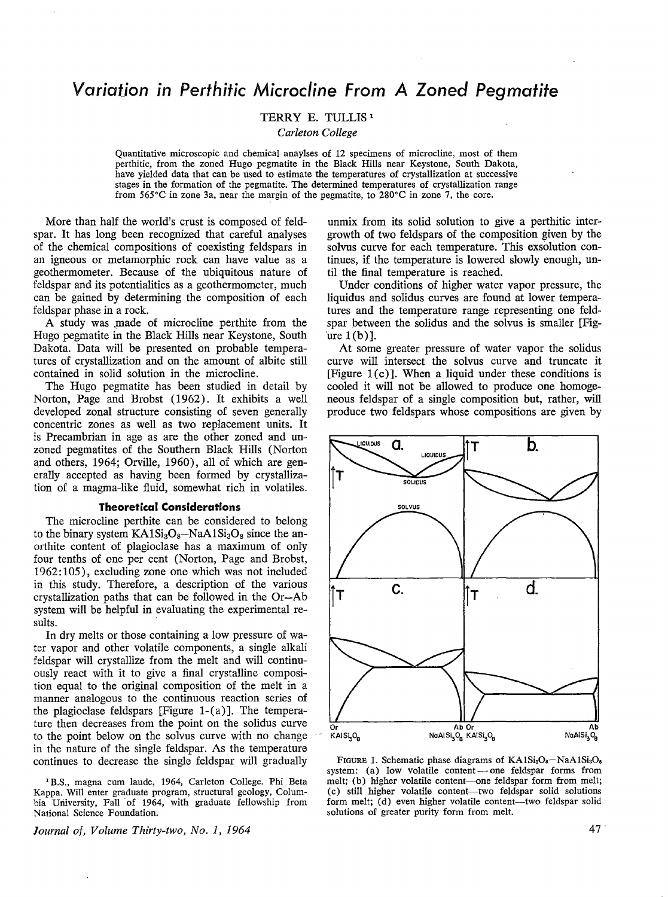# *Variation in Perthitic Microcline From A Zoned Pegmatite*

### TERRY E. TULLIS<sup>1</sup>

*Carleton College* 

Quantitative microscopic and chemical anaylses of 12 specimens of microcline, most of them perthitic, from the zoned Hugo pegmatite in the Black Hills near Keystone, South Dakota, have yielded data that can be used to estimate the temperatures of crystallization at successive stages in the formation of the pegmatite. The determined temperatures of crystallization range from 565 $^{\circ}$ C in zone 3a, near the margin of the pegmatite, to 280 $^{\circ}$ C in zone 7, the core.

More than half the world's crust is composed of feldspar. It has long been recognized that careful analyses of the chemical compositions of coexisting feldspars in an igneous or metamorphic rock can have value as a geothermometer. Because of the ubiquitous nature of feldspar and its potentialities as a geothermometer, much can be gained by determining the composition of each feldspar phase in a rock.

A study was made of microcline perthite from the Hugo pegmatite in the Black Hills near Keystone, South Dakota. Data will be presented on probable temperatures of crystallization and on the amount of albite still contained in solid solution in the microcline.

The Hugo pegmatite has been studied in detail by Norton, Page and Brobst (1962). It exhibits a well developed zonal structure consisting of seven generally concentric zones as well as two replacement units. It is Precambrian in age as are the other zoned and unzoned pegmatites of the Southern Black Hills (Norton and others, 1964; Orville, 1960), all of which are generally accepted as having been formed by crystallization of a magma-like fluid, somewhat rich in volatiles.

#### **Theoretical Considerations**

The microcline perthite can be considered to belong to the binary system  $KAISi<sub>3</sub>O<sub>8</sub> -NaAISi<sub>3</sub>O<sub>8</sub>$  since the anorthite content of plagioclase has a maximum of only four tenths of one per cent (Norton, Page and Brobst, 1962: 105), excluding zone one which was not included in this study. Therefore, a description of the various crystallization paths that can be followed in the Or-Ab system will be helpful in evaluating the experimental results.

In dry melts or those containing a low pressure of water vapor and other volatile components, a single alkali feldspar will crystallize from the melt and will continuously react with it to give a final crystalline composition equal to the original composition of the melt in a manner analogous to the continuous reaction series of the plagioclase feldspars [Figure 1-(a)]. The temperature then decreases from the point on the solidus curve to the point below on the solvus curve with no change in the nature of the single feldspar. As the temperature continues to decrease the single feldspar will gradually

1 B.S., magna cum laude, 1964, Carleton College. Phi Beta Kappa. Will enter graduate program, structural geology, Columbia University, Fall of 1964, with graduate fellowship from National Science Foundation.

*Journal of, Volume Thirty-two, No. 1, 1964* 

unmix from its solid solution to give a perthitic intergrowth of two feldspars of the composition given by the solvus curve for each temperature. This exsolution continues, if the temperature is lowered slowly enough, until the final temperature is reached.

Under conditions of higher water vapor pressure, the liquidus and solidus curves are found at lower temperatures and the temperature range representing one feldspar between the solidus and the solvus is smaller [Fig  $ure 1(b)$ ].

At some greater pressure of water vapor the solidus curve will intersect the solvus curve and truncate it [Figure  $1(c)$ ]. When a liquid under these conditions is cooled it will not be allowed to produce one homogeneous feldspar of a single composition but, rather, will produce two feldspars whose compositions are given by



FIGURE 1. Schematic phase diagrams of  $KAISi<sub>8</sub>O<sub>8</sub> - NaAISi<sub>8</sub>O<sub>8</sub>$ system: (a) low volatile content-one feldspar forms from melt; (b) higher volatile content-one feldspar form from melt; ( c) still higher volatile content-two feldspar solid solutions form melt; (d) even higher volatile content--two feldspar solid solutions of greater purity form from melt.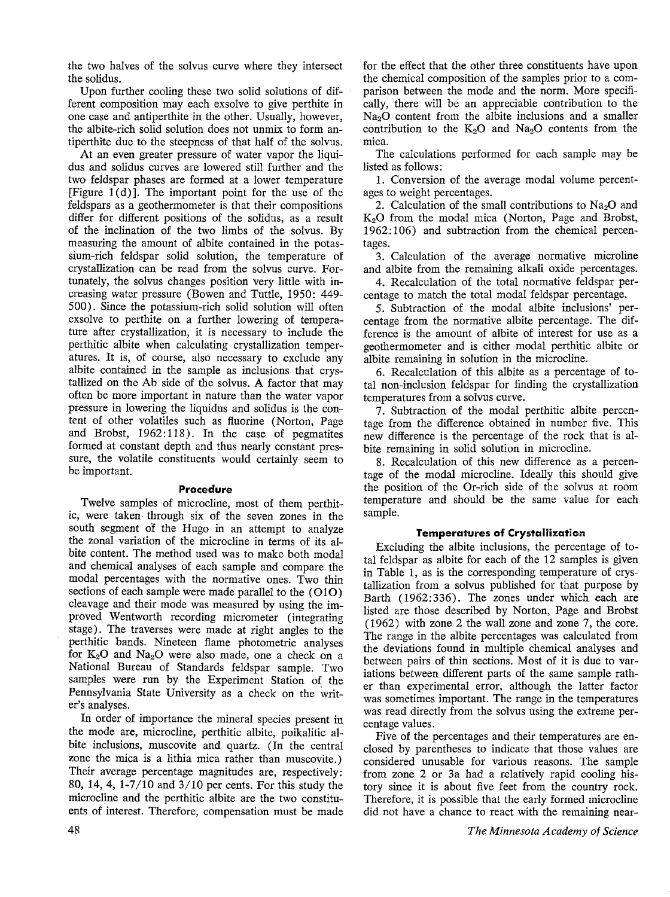the two halves of the solvus curve where they intersect the solidus.

Upon further cooling these two solid solutions of different composition may each exsolve to give perthite in one case and antiperthite in the other. Usually, however, the albite-rich solid solution does not unmix to form antiperthite due to the steepness of that half of the solvus.

At an even greater pressure of water vapor the liquidus and solidus curves are lowered still further and the two feldspar phases are formed at a lower temperature [Figure  $1(d)$ ]. The important point for the use of the feldspars as a geothermometer is that their compositions differ for different positions of the solidus, as a result of the inclination of the two limbs of the solvus. By measuring the amount of albite contained in the potassium-rich feldspar solid solution, the temperature of crystallization can be read from the solvus curve. Fortunately, the solvus changes position very little with increasing water pressure (Bowen and Tuttle, 1950: 449- 500). Since the potassium-rich solid solution will often exsolve to perthite on a further lowering of temperature after crystallization, it is necessary to include the perthitic albite when calculating crystallization temperatures. It is, of course, also necessary to exclude any albite contained in the sample as inclusions that crystallized on the Ab side of the solvus. A factor that may often be more important in nature than the water vapor pressure in lowering the liquidus and solidus is the content of other volatiles such as fluorine (Norton, Page and Brobst, 1962:118). In the case of pegmatites formed at constant depth and thus nearly constant pressure, the volatile constituents would certainly seem to be important.

#### **Procedure**

Twelve samples of microcline, most of them perthitic, were taken through six of the seven zones in the south segment of the Hugo in an attempt to analyze the zonal variation of the microcline in terms of its albite content. The method used was to make both modal and chemical analyses of each sample and compare the modal percentages with the normative ones. Two thin sections of each sample were made parallel to the **(010)**  cleavage and their mode was measured by using the improved Wentworth recording micrometer (integrating stage). The traverses were made at right angles to the perthitic bands. Nineteen flame photometric analyses for  $K_2O$  and  $Na_2O$  were also made, one a check on a National Bureau of Standards feldspar sample. Two samples were run by the Experiment Station of the Pennsylvania State University as a check on the writer's analyses.

In order of importance the mineral species present in the mode are, microcline, perthitic albite, poikalitic albite inclusions, muscovite and quartz. (In the central zone the mica is a lithia mica rather than muscovite.) Their average percentage magnitudes are, respectively: 80, 14, 4, 1-7 /10 and 3/10 per cents. For this study the microcline and the perthitic albite are the two constituents of interest. Therefore, compensation must be made

for the effect that the other three constituents have upon the chemical composition of the samples prior to a comparison between the mode and the norm. More specifically, there will be an appreciable contribution to the  $Na<sub>2</sub>O$  content from the albite inclusions and a smaller contribution to the  $K_2O$  and  $Na_2O$  contents from the mica.

The calculations performed for each sample may be listed as follows :

1. Conversion of the average modal volume percentages to weight percentages.

2. Calculation of the small contributions to  $Na<sub>2</sub>O$  and **K20** from the modal mica (Norton, Page and Brobst, 1962: 106) and subtraction from the chemical percentages.

3. Calculation of the average normative microline and albite from the remaining alkali oxide percentages.

4. Recalculation of the total normative feldspar percentage to match the total modal feldspar percentage.

5. Subtraction of the modal albite inclusions' percentage from the normative albite percentage. The difference is the amount of albite of interest for use as a geothermometer and is either modal perthitic albite or albite remaining in solution in the microcline.

6. Recalculation of this albite as a percentage of total non-inclusion feldspar for finding the crystallization temperatures from a solvus curve.

7. Subtraction of the modal perthitic albite percentage from the difference obtained in number five. This new difference is the percentage of the rock that is albite remaining in solid solution in microcline.

8. Recalculation of this new difference as a percentage of the modal microcline. Ideally this should give the position of the Or-rich side of the solvus at room temperature and should be the same value for each sample.

#### **Temperatures of Crystallization**

Excluding the albite inclusions, the percentage of total feldspar as albite for each of the 12 samples is given in Table 1, as is the corresponding temperature of crystallization from a solvus published for that purpose by Barth (1962:336). The zones under which each are listed are those described by Norton, Page and Brobst (1962) with zone 2 the wall zone and zone 7, the core. The range in the albite percentages was calculated from the deviations found in multiple chemical analyses and between pairs of thin sections. Most of it is due to variations between different parts of the same sample rather than experimental error, although the latter factor was sometimes important. The range in the temperatures was read directly from the solvus using the extreme percentage values.

Five of the percentages and their temperatures are enclosed by parentheses to indicate that those values are considered unusable for various reasons. The sample from zone 2 or 3a had a relatively rapid cooling history since it is about five feet from the country rock. Therefore, it is possible that the early formed microcline did not have a chance to react with the remaining near-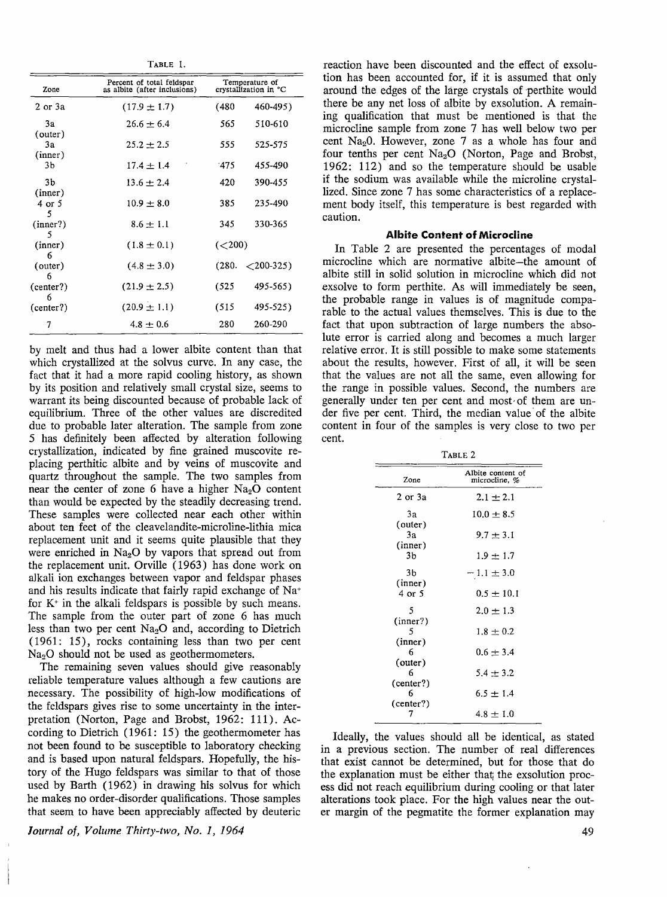TABLE 1.

| Zone                     | Percent of total feldspar<br>as albite (after inclusions) | Temperature of<br>crystallization in °C |                             |
|--------------------------|-----------------------------------------------------------|-----------------------------------------|-----------------------------|
| $2$ or $3a$              | $(17.9 \pm 1.7)$                                          | (480                                    | 460-495)                    |
| 3a                       | $26.6 \pm 6.4$                                            | 565                                     | 510-610                     |
| (outer)<br>Зa<br>(inner) | $25.2 \pm 2.5$                                            | 555                                     | 525-575                     |
| 3b                       | $17.4 + 1.4$                                              | $-475$                                  | 455-490                     |
| 3b                       | $13.6 \pm 2.4$                                            | 420                                     | 390-455                     |
| (inner)<br>4 or 5<br>5   | $10.9 \pm 8.0$                                            | 385                                     | 235-490                     |
| (inner?)                 | $8.6 \pm 1.1$                                             | 345                                     | 330-365                     |
| 5<br>(inner)<br>6        | $(1.8 \pm 0.1)$                                           | (< 200)                                 |                             |
| (outer)<br>6             | $(4.8 \pm 3.0)$                                           | (280.                                   | $\langle 200 - 325 \rangle$ |
| (center?)<br>6           | $(21.9 \pm 2.5)$                                          | (525)                                   | 495-565)                    |
| (center?)                | $(20.9 \pm 1.1)$                                          | (515                                    | 495-525)                    |
| 7                        | $4.8 \pm 0.6$                                             | 280                                     | 260-290                     |

by melt and thus had a lower albite content than that which crystallized at the solvus curve. In any case, the fact that it had a more rapid cooling history, as shown by its position and relatively small crystal size, seems to warrant its being discounted because of probable lack of equilibrium. Three of the other values are discredited due to probable later alteration. The sample from zone 5 has definitely been affected by alteration following crystallization, indicated by fine grained muscovite replacing perthitic albite and by veins of muscovite and quartz throughout the sample. The two samples from near the center of zone 6 have a higher  $Na<sub>2</sub>O$  content than would be expected by the steadily decreasing trend. These samples were collected near each other within about ten feet of the cleavelandite-microline-lithia mica replacement unit and it seems quite plausible that they were enriched in  $Na<sub>2</sub>O$  by vapors that spread out from the replacement unit. Orville (1963) has done work on alkali ion exchanges between vapor and feldspar phases and his results indicate that fairly rapid exchange of Na+ for  $K^+$  in the alkali feldspars is possible by such means. The sample from the outer part of zone 6 has much less than two per cent  $Na<sub>2</sub>O$  and, according to Dietrich (1961: 15), rocks containing less than two per cent  $Na<sub>2</sub>O$  should not be used as geothermometers.

The remaining seven values should give reasonably reliable temperature values although a few cautions are necessary. The possibility of high-low modifications of the feldspars gives rise to some uncertainty in the interpretation (Norton, Page and Brobst, 1962: 111). According to Dietrich  $(1961: 15)$  the geothermometer has not been found to be susceptible to laboratory checking and is based upon natural feldspars. Hopefully, the history of the Hugo feldspars was similar to that of those used by Barth (1962) in drawing his solvus for which he makes no order-disorder qualifications. Those samples that seem to have been appreciably affected by deuteric

*loumal of, Volume Thirty-two, No. 1, 1964* 

reaction have been discounted and the effect of exsolution has been accounted for, if it is assumed that only around the edges of the large crystals of perthite would there be any net loss of albite by exsolution. A remaining qualification that must be mentioned is that the microcline sample from zone 7 has well below two per cent  $Na<sub>2</sub>0$ . However, zone 7 as a whole has four and four tenths per cent  $Na<sub>2</sub>O$  (Norton, Page and Brobst, 1962: 112) and so the temperature should be usable if the sodium was available while the microline crystallized. Since zone 7 has some characteristics of a replacement body itself, this temperature is best regarded with caution.

#### **Albite Content of Microcline**

In Table 2 are presented the percentages of modal microcline which are normative albite-the amount of albite still in solid solution in microcline which did not exsolve to form perthite. As will immediately be seen, the probable range in values is of magnitude comparable to the actual values themselves. This is due to the fact that upon subtraction of large numbers the absolute error is carried along and becomes a much larger relative error. It is still possible to make some statements about the results, however. First of all, it will be seen that the values are not all the same, even allowing for the range in possible values. Second, the numbers are generally under ten per cent and most· of them are under five per cent. Third, the median value of the albite content in four of the samples is very close to two per cent.

TABLE 2

| Zone                     | Albite content of<br>microcline, % |  |  |
|--------------------------|------------------------------------|--|--|
| 2 or 3a                  | $2.1 \pm 2.1$                      |  |  |
| 3a                       | $10.0 \pm 8.5$                     |  |  |
| (outer)<br>Зa<br>(inner) | $9.7 \pm 3.1$                      |  |  |
| 3b                       | $1.9 \pm 1.7$                      |  |  |
| 3Ь                       | $-1.1 \pm 3.0$                     |  |  |
| (inner)<br>4 or 5        | $0.5 \pm 10.1$                     |  |  |
| 5                        | $2.0 \pm 1.3$                      |  |  |
| (nner?)<br>5<br>(inner)  | $1.8 \pm 0.2$                      |  |  |
| 6                        | $0.6 \pm 3.4$                      |  |  |
| (outer)<br>6             | $5.4 \pm 3.2$                      |  |  |
| (center?)<br>6           | $6.5 \pm 1.4$                      |  |  |
| (center?)<br>7           | $4.8 \pm 1.0$                      |  |  |
|                          |                                    |  |  |

Ideally, the values should all be identical, as stated in a previous section. The number of real differences that exist cannot be determined, but for those that do the explanation must be either that; the exsolution process did not reach equilibrium during cooling or that later alterations took place. For the high values near the outer margin of the pegmatite the former explanation may